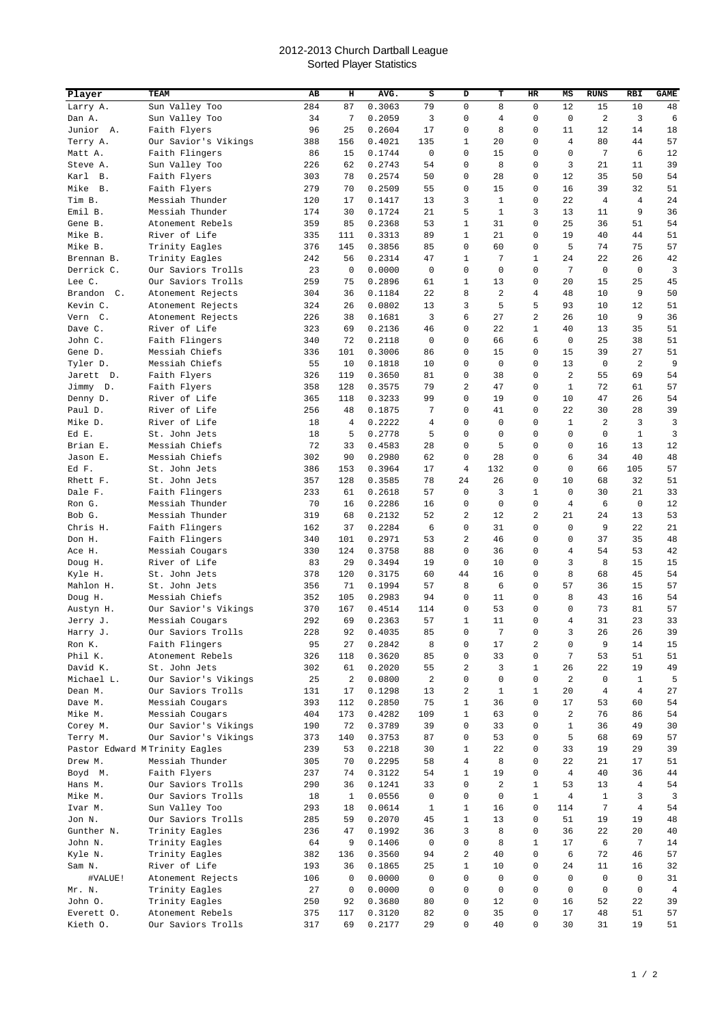## 2012-2013 Church Dartball League Sorted Player Statistics

| Player                | TEAM                                       | AВ         | н            | AVG.             | s                    | D              | т                 | HR                | МS                   | <b>RUNS</b>  | RBI            | <b>GAME</b>    |
|-----------------------|--------------------------------------------|------------|--------------|------------------|----------------------|----------------|-------------------|-------------------|----------------------|--------------|----------------|----------------|
| Larry A.              | Sun Valley Too                             | 284        | 87           | 0.3063           | 79                   | $\mathbf 0$    | 8                 | $\mathbf 0$       | 12                   | 15           | 10             | 48             |
| Dan A.                | Sun Valley Too                             | 34         | 7            | 0.2059           | 3                    | 0              | 4                 | 0                 | $\mathbf 0$          | 2            | 3              | 6              |
| Junior<br>Α.          | Faith Flyers                               | 96         | 25           | 0.2604           | 17                   | 0              | 8                 | 0                 | 11                   | 12           | 14             | 18             |
| Terry A.              | Our Savior's Vikings                       | 388        | 156          | 0.4021           | 135                  | 1              | 20                | 0                 | 4                    | 80           | 44             | 57             |
| Matt A.               | Faith Flingers                             | 86         | 15           | 0.1744           | 0                    | 0              | 15                | 0                 | 0                    | 7            | 6              | 12             |
| Steve A.              | Sun Valley Too                             | 226        | 62           | 0.2743           | 54                   | 0              | 8                 | 0                 | 3                    | 21           | 11             | 39             |
| Karl<br><b>B</b> .    | Faith Flyers                               | 303        | 78           | 0.2574           | 50                   | 0              | 28                | 0                 | 12                   | 35           | 50             | 54             |
| Mike<br><b>B.</b>     | Faith Flyers                               | 279        | 70           | 0.2509           | 55                   | 0              | 15                | 0                 | 16                   | 39           | 32             | 51             |
| Tim B.                | Messiah Thunder                            | 120        | 17           | 0.1417           | 13                   | 3              | 1                 | 0                 | 22                   | 4            | 4              | 24             |
| Emil B.               | Messiah Thunder                            | 174        | 30           | 0.1724           | 21                   | 5              | 1                 | 3                 | 13                   | 11           | 9              | 36             |
| Gene B.               | Atonement Rebels                           | 359        | 85           | 0.2368           | 53                   | $\mathbf{1}$   | 31                | 0                 | 25                   | 36           | 51             | 54             |
| Mike B.               | River of Life                              | 335        | 111          | 0.3313           | 89                   | $\mathbf{1}$   | 21                | 0                 | 19                   | 40           | 44             | 51             |
| Mike B.               | Trinity Eagles                             | 376        | 145          | 0.3856           | 85                   | 0              | 60                | 0                 | 5                    | 74           | 75             | 57             |
| Brennan B.            | Trinity Eagles                             | 242        | 56           | 0.2314           | 47                   | 1              | 7                 | $\mathbf{1}$      | 24                   | 22           | 26             | 42             |
| Derrick C.            | Our Saviors Trolls                         | 23         | 0            | 0.0000           | 0                    | 0              | 0                 | 0                 | 7                    | $\mathsf 0$  | 0              | 3              |
| Lee C.                | Our Saviors Trolls                         | 259        | 75           | 0.2896           | 61                   | 1              | 13                | 0                 | 20                   | 15           | 25             | 45             |
| Brandon C.            | Atonement Rejects                          | 304        | 36           | 0.1184           | 22                   | 8              | 2                 | 4                 | 48                   | 10           | 9              | 50             |
| Kevin C.              | Atonement Rejects                          | 324        | 26           | 0.0802           | 13                   | 3              | 5                 | 5                 | 93                   | 10           | 12             | 51             |
| Vern C.               | Atonement Rejects                          | 226        | 38           | 0.1681           | 3                    | 6              | 27                | 2                 | 26                   | 10           | 9              | 36             |
| Dave C.               | River of Life                              | 323        | 69<br>72     | 0.2136           | 46<br>$\mathbf 0$    | 0<br>0         | 22                | $\mathbf{1}$<br>6 | 40<br>$\mathbf 0$    | 13<br>25     | 35             | 51             |
| John C.<br>Gene D.    | Faith Flingers<br>Messiah Chiefs           | 340<br>336 | 101          | 0.2118<br>0.3006 | 86                   | 0              | 66<br>15          | 0                 | 15                   | 39           | 38<br>27       | 51<br>51       |
| Tyler D.              | Messiah Chiefs                             | 55         | 10           | 0.1818           | 10                   | 0              | 0                 | 0                 | 13                   | $\mathbf 0$  | 2              | 9              |
| Jarett<br>D.          | Faith Flyers                               | 326        | 119          | 0.3650           | 81                   | 0              | 38                | 0                 | $\overline{2}$       | 55           | 69             | 54             |
| Jimmy D.              | Faith Flyers                               | 358        | 128          | 0.3575           | 79                   | 2              | 47                | 0                 | $\mathbf{1}$         | 72           | 61             | 57             |
| Denny D.              | River of Life                              | 365        | 118          | 0.3233           | 99                   | 0              | 19                | 0                 | 10                   | 47           | 26             | 54             |
| Paul D.               | River of Life                              | 256        | 48           | 0.1875           | 7                    | 0              | 41                | 0                 | 22                   | 30           | 28             | 39             |
| Mike D.               | River of Life                              | 18         | 4            | 0.2222           | 4                    | 0              | 0                 | 0                 | 1                    | 2            | 3              | 3              |
| Ed E.                 | St. John Jets                              | 18         | 5            | 0.2778           | 5                    | 0              | 0                 | 0                 | $\mathbf 0$          | 0            | $\mathbf{1}$   | 3              |
| Brian E.              | Messiah Chiefs                             | 72         | 33           | 0.4583           | 28                   | 0              | 5                 | 0                 | 0                    | 16           | 13             | 12             |
| Jason E.              | Messiah Chiefs                             | 302        | 90           | 0.2980           | 62                   | 0              | 28                | 0                 | 6                    | 34           | 40             | 48             |
| Ed F.                 | St. John Jets                              | 386        | 153          | 0.3964           | 17                   | $\overline{4}$ | 132               | 0                 | $\Omega$             | 66           | 105            | 57             |
| Rhett F.              | St. John Jets                              | 357        | 128          | 0.3585           | 78                   | 24             | 26                | 0                 | 10                   | 68           | 32             | 51             |
| Dale F.               | Faith Flingers                             | 233        | 61           | 0.2618           | 57                   | 0              | 3                 | $\mathbf{1}$      | $\mathbf 0$          | 30           | 21             | 33             |
| Ron G.                | Messiah Thunder                            | 70         | 16           | 0.2286           | 16                   | 0              | 0                 | 0                 | $\overline{4}$       | 6            | 0              | 12             |
| Bob G.                | Messiah Thunder                            | 319        | 68           | 0.2132           | 52                   | 2              | 12                | 2                 | 21                   | 24           | 13             | 53             |
| Chris H.              | Faith Flingers                             | 162        | 37           | 0.2284           | 6                    | 0              | 31                | 0                 | $\mathbf 0$          | 9            | 22             | 21             |
| Don H.                | Faith Flingers                             | 340        | 101          | 0.2971           | 53                   | 2              | 46                | 0                 | 0                    | 37           | 35             | 48             |
| Ace H.                | Messiah Cougars                            | 330        | 124          | 0.3758           | 88                   | 0              | 36                | 0                 | 4                    | 54           | 53             | 42             |
| Doug H.               | River of Life                              | 83         | 29           | 0.3494           | 19                   | 0              | 10                | 0                 | 3                    | 8            | 15             | 15             |
| Kyle H.               | St. John Jets                              | 378        | 120          | 0.3175           | 60                   | 44             | 16                | 0                 | 8                    | 68           | 45             | 54             |
| Mahlon H.             | St. John Jets                              | 356        | 71           | 0.1994           | 57                   | 8              | 6                 | 0                 | 57                   | 36           | 15             | 57             |
| Doug H.               | Messiah Chiefs                             | 352        | 105          | 0.2983           | 94                   | 0              | 11                | 0                 | 8                    | 43           | 16             | 54             |
| Austyn H.             | Our Savior's Vikings                       | 370        | 167          | 0.4514           | 114                  | 0              | 53                | 0                 | 0                    | 73           | 81             | 57             |
| Jerry J.              | Messiah Cougars                            | 292        | 69           | 0.2363           | 57                   | $\mathbf{1}$   | 11                | 0                 | 4                    | 31           | 23             | 33             |
| Harry J.              | Our Saviors Trolls                         | 228        | 92           | 0.4035           | 85                   | $\Omega$       | 7                 | $\mathsf{O}$      | 3                    | 26           | 26             | 39             |
| Ron K.                | Faith Flingers                             | 95         | 27           | 0.2842           | 8                    | 0              | 17                | 2                 | 0                    | 9            | 14             | 15             |
| Phil K.               | Atonement Rebels                           | 326        | 118          | 0.3620           | 85                   | 0              | 33                | 0                 | 7                    | 53           | 51             | 51             |
| David K.              | St. John Jets                              | 302        | 61           | 0.2020           | 55                   | 2              | 3                 | 1                 | 26                   | 22           | 19             | 49             |
| Michael L.<br>Dean M. | Our Savior's Vikings<br>Our Saviors Trolls | 25<br>131  | 2<br>17      | 0.0800<br>0.1298 | $\overline{a}$<br>13 | 0<br>2         | 0<br>$\mathbf{1}$ | 0<br>$\mathbf{1}$ | $\overline{a}$<br>20 | 0<br>4       | 1<br>4         | 5<br>27        |
| Dave M.               | Messiah Cougars                            | 393        | 112          | 0.2850           | 75                   | $\mathbf{1}$   | 36                | 0                 | 17                   | 53           | 60             | 54             |
| Mike M.               | Messiah Cougars                            | 404        | 173          | 0.4282           | 109                  | $\mathbf{1}$   | 63                | 0                 | 2                    | 76           | 86             | 54             |
| Corey M.              | Our Savior's Vikings                       | 190        | 72           | 0.3789           | 39                   | 0              | 33                | 0                 | $\mathbf{1}$         | 36           | 49             | 30             |
| Terry M.              | Our Savior's Vikings                       | 373        | 140          | 0.3753           | 87                   | 0              | 53                | 0                 | 5                    | 68           | 69             | 57             |
|                       | Pastor Edward MTrinity Eagles              | 239        | 53           | 0.2218           | 30                   | 1              | 22                | 0                 | 33                   | 19           | 29             | 39             |
| Drew M.               | Messiah Thunder                            | 305        | 70           | 0.2295           | 58                   | 4              | 8                 | 0                 | 22                   | 21           | 17             | 51             |
| Boyd M.               | Faith Flyers                               | 237        | 74           | 0.3122           | 54                   | $\mathbf{1}$   | 19                | 0                 | $\overline{4}$       | 40           | 36             | 44             |
| Hans M.               | Our Saviors Trolls                         | 290        | 36           | 0.1241           | 33                   | 0              | 2                 | 1                 | 53                   | 13           | $\overline{4}$ | 54             |
| Mike M.               | Our Saviors Trolls                         | 18         | $\mathbf{1}$ | 0.0556           | 0                    | 0              | 0                 | 1                 | $\overline{4}$       | $\mathbf{1}$ | 3              | 3              |
| Ivar M.               | Sun Valley Too                             | 293        | 18           | 0.0614           | $\mathbf 1$          | $\mathbf{1}$   | 16                | 0                 | 114                  | 7            | $\overline{4}$ | 54             |
| Jon N.                | Our Saviors Trolls                         | 285        | 59           | 0.2070           | 45                   | $\mathbf{1}$   | 13                | 0                 | 51                   | 19           | 19             | 48             |
| Gunther N.            | Trinity Eagles                             | 236        | 47           | 0.1992           | 36                   | 3              | 8                 | 0                 | 36                   | 22           | 20             | 40             |
| John N.               | Trinity Eagles                             | 64         | 9            | 0.1406           | $\mathbf 0$          | 0              | 8                 | $\mathbf{1}$      | 17                   | 6            | 7              | 14             |
| Kyle N.               | Trinity Eagles                             | 382        | 136          | 0.3560           | 94                   | 2              | 40                | 0                 | 6                    | 72           | 46             | 57             |
| Sam N.                | River of Life                              | 193        | 36           | 0.1865           | 25                   | $\mathbf{1}$   | 10                | 0                 | 24                   | 11           | 16             | 32             |
| #VALUE!               | Atonement Rejects                          | 106        | 0            | 0.0000           | $\mathbf 0$          | 0              | 0                 | 0                 | $\mathbf 0$          | 0            | $\mathbf 0$    | 31             |
| Mr. N.                | Trinity Eagles                             | 27         | 0            | 0.0000           | 0                    | 0              | 0                 | 0                 | 0                    | 0            | 0              | $\overline{4}$ |
| John 0.               | Trinity Eagles                             | 250        | 92           | 0.3680           | 80                   | 0              | 12                | 0                 | 16                   | 52           | 22             | 39             |
| Everett O.            | Atonement Rebels                           | 375        | 117          | 0.3120           | 82                   | 0              | 35                | 0                 | 17                   | 48           | 51             | 57             |
| Kieth O.              | Our Saviors Trolls                         | 317        | 69           | 0.2177           | 29                   | 0              | 40                | 0                 | 30                   | 31           | 19             | 51             |